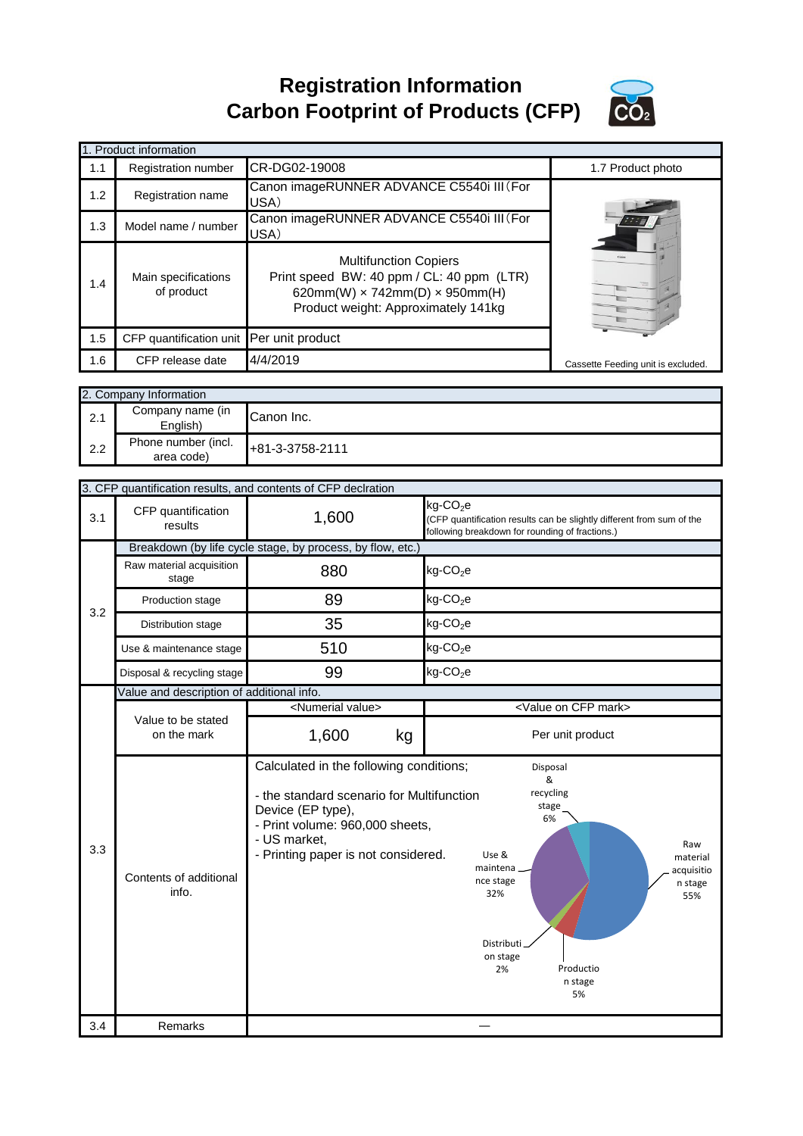**Registration Information Carbon Footprint of Products (CFP)**



|     | 1. Product information                   |                                                                                                                                                                  |                                    |
|-----|------------------------------------------|------------------------------------------------------------------------------------------------------------------------------------------------------------------|------------------------------------|
| 1.1 | <b>Registration number</b>               | CR-DG02-19008                                                                                                                                                    | 1.7 Product photo                  |
| 1.2 | <b>Registration name</b>                 | Canon imageRUNNER ADVANCE C5540i III (For<br>USA)                                                                                                                |                                    |
| 1.3 | Model name / number                      | Canon imageRUNNER ADVANCE C5540i III (For<br>USA)                                                                                                                |                                    |
| 1.4 | Main specifications<br>of product        | <b>Multifunction Copiers</b><br>Print speed BW: 40 ppm / CL: 40 ppm (LTR)<br>620mm(W) $\times$ 742mm(D) $\times$ 950mm(H)<br>Product weight: Approximately 141kg |                                    |
| 1.5 | CFP quantification unit Per unit product |                                                                                                                                                                  |                                    |
| 1.6 | CFP release date                         | 4/4/2019                                                                                                                                                         | Cassette Feeding unit is excluded. |

|     | 2. Company Information            |                 |
|-----|-----------------------------------|-----------------|
| 2.1 | Company name (in<br>English)      | Canon Inc.      |
| 2.2 | Phone number (incl.<br>area code) | +81-3-3758-2111 |

|            |                                                            | 3. CFP quantification results, and contents of CFP declration                                                                                            |                                                                                                                                                                                     |  |
|------------|------------------------------------------------------------|----------------------------------------------------------------------------------------------------------------------------------------------------------|-------------------------------------------------------------------------------------------------------------------------------------------------------------------------------------|--|
| 3.1        | CFP quantification<br>results                              | 1,600                                                                                                                                                    | kg-CO <sub>2</sub> e<br>(CFP quantification results can be slightly different from sum of the<br>following breakdown for rounding of fractions.)                                    |  |
|            | Breakdown (by life cycle stage, by process, by flow, etc.) |                                                                                                                                                          |                                                                                                                                                                                     |  |
|            | Raw material acquisition<br>stage                          | 880                                                                                                                                                      | $kg$ -CO <sub>2</sub> e                                                                                                                                                             |  |
| 3.2        | Production stage                                           | 89                                                                                                                                                       | $kg$ -CO <sub>2</sub> e                                                                                                                                                             |  |
|            | Distribution stage                                         | 35                                                                                                                                                       | $kg$ -CO <sub>2</sub> e                                                                                                                                                             |  |
|            | Use & maintenance stage                                    | 510                                                                                                                                                      | $kg$ -CO <sub>2</sub> e                                                                                                                                                             |  |
|            | Disposal & recycling stage                                 | 99                                                                                                                                                       | $kg$ -CO <sub>2</sub> e                                                                                                                                                             |  |
|            | Value and description of additional info.                  |                                                                                                                                                          |                                                                                                                                                                                     |  |
|            |                                                            | <numerial value=""></numerial>                                                                                                                           | <value cfp="" mark="" on=""></value>                                                                                                                                                |  |
|            | Value to be stated<br>on the mark                          | 1,600<br>kg                                                                                                                                              | Per unit product                                                                                                                                                                    |  |
|            |                                                            | Calculated in the following conditions;                                                                                                                  | Disposal<br>&                                                                                                                                                                       |  |
| 3.3<br>3.4 | Contents of additional<br>info.<br>Remarks                 | - the standard scenario for Multifunction<br>Device (EP type),<br>- Print volume: 960,000 sheets,<br>- US market,<br>- Printing paper is not considered. | recycling<br>stage<br>6%<br>Raw<br>Use &<br>material<br>maintena.<br>acquisitio<br>nce stage<br>n stage<br>32%<br>55%<br>Distributi<br>on stage<br>Productio<br>2%<br>n stage<br>5% |  |